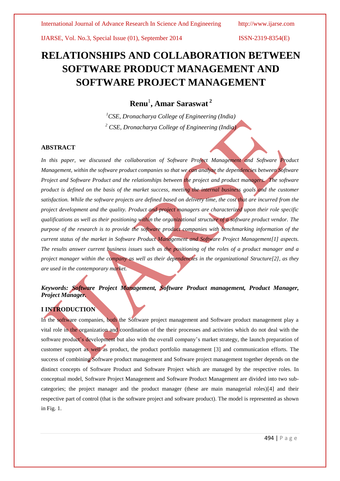IJARSE, Vol. No.3, Special Issue (01), September 2014 ISSN-2319-8354(E)

# **RELATIONSHIPS AND COLLABORATION BETWEEN SOFTWARE PRODUCT MANAGEMENT AND SOFTWARE PROJECT MANAGEMENT**

# **Renu**<sup>1</sup> **, Amar Saraswat <sup>2</sup>**

*<sup>1</sup>CSE, Dronacharya College of Engineering (India) <sup>2</sup> CSE, Dronacharya College of Engineering (India)*

#### **ABSTRACT**

In this paper, we discussed the collaboration of Software Project Management and Software Product *Management, within the software product companies so that we can analyze the dependencies between Software Project and Software Product and the relationships between the project and product managers. The software product is defined on the basis of the market success, meeting the internal business goals and the customer satisfaction. While the software projects are defined based on delivery time, the cost that are incurred from the project development and the quality. Product and project managers are characterized upon their role specific qualifications as well as their positioning within the organizational structure of a software product vendor. The purpose of the research is to provide the software product companies with benchmarking information of the current status of the market in Software Product Management and Software Project Management[1] aspects. The results answer current business issues such as the positioning of the roles of a product manager and a project manager within the company as well as their dependencies in the organizational Structure[2], as they are used in the contemporary market.*

# *Keywords: Software Project Management, Software Product management, Product Manager, Project Manager.*

# **I INTRODUCTION**

In the software companies, both the Software project management and Software product management play a vital role in the organization and coordination of the their processes and activities which do not deal with the software product's development but also with the overall company's market strategy, the launch preparation of customer support as well as product, the product portfolio management [3] and communication efforts. The success of combining Software product management and Software project management together depends on the distinct concepts of Software Product and Software Project which are managed by the respective roles. In conceptual model, Software Project Management and Software Product Management are divided into two subcategories; the project manager and the product manager (these are main managerial roles)[4] and their respective part of control (that is the software project and software product). The model is represented as shown in Fig. 1.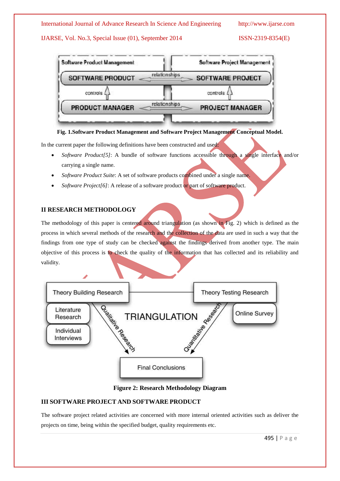## International Journal of Advance Research In Science And Engineering http://www.ijarse.com

# IJARSE, Vol. No.3, Special Issue (01), September 2014 ISSN-2319-8354(E)



**Fig. 1.Software Product Management and Software Project Management Conceptual Model.**

In the current paper the following definitions have been constructed and used:

- *Software Product[5]*: A bundle of software functions accessible through a single interface and/or carrying a single name.
- *Software Product Suite*: A set of software products combined under a single name.
- *Software Project[6]*: A release of a software product or part of software product.

# **II RESEARCH METHODOLOGY**

The methodology of this paper is centered around triangulation (as shown in Fig. 2) which is defined as the process in which several methods of the research and the collection of the data are used in such a way that the findings from one type of study can be checked against the findings derived from another type. The main objective of this process is to check the quality of the information that has collected and its reliability and validity.



#### **Figure 2: Research Methodology Diagram**

# **III SOFTWARE PROJECT AND SOFTWARE PRODUCT**

The software project related activities are concerned with more internal oriented activities such as deliver the projects on time, being within the specified budget, quality requirements etc.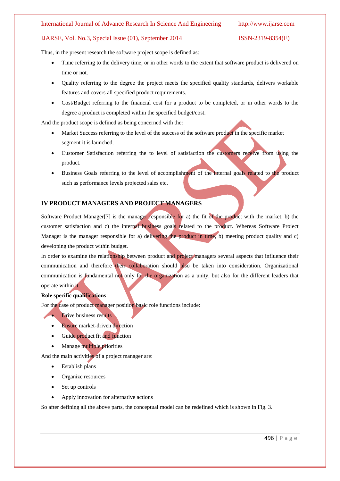#### International Journal of Advance Research In Science And Engineering http://www.ijarse.com

#### IJARSE, Vol. No.3, Special Issue (01), September 2014 ISSN-2319-8354(E)

Thus, in the present research the software project scope is defined as:

- Time referring to the delivery time, or in other words to the extent that software product is delivered on time or not.
- Quality referring to the degree the project meets the specified quality standards, delivers workable features and covers all specified product requirements.
- Cost/Budget referring to the financial cost for a product to be completed, or in other words to the degree a product is completed within the specified budget/cost.

And the product scope is defined as being concerned with the:

- Market Success referring to the level of the success of the software product in the specific market segment it is launched.
- Customer Satisfaction referring the to level of satisfaction the customers receive from using the product.
- Business Goals referring to the level of accomplishment of the internal goals related to the product such as performance levels projected sales etc.

### **IV PRODUCT MANAGERS AND PROJECT MANAGERS**

Software Product Manager[7] is the manager responsible for a) the fit of the product with the market, b) the customer satisfaction and c) the internal business goals related to the product. Whereas Software Project Manager is the manager responsible for a) delivering the product in time, b) meeting product quality and c) developing the product within budget.

In order to examine the relationship between product and project managers several aspects that influence their communication and therefore their collaboration should also be taken into consideration. Organizational communication is fundamental not only for the organization as a unity, but also for the different leaders that operate within it.

#### **Role specific qualifications**

For the case of product manager position basic role functions include:

- Drive business results
- **Ensure market-driven direction**
- Guide product fit and function
- Manage multiple priorities

And the main activities of a project manager are:

- Establish plans
- Organize resources
- Set up controls
- Apply innovation for alternative actions

So after defining all the above parts, the conceptual model can be redefined which is shown in Fig. 3.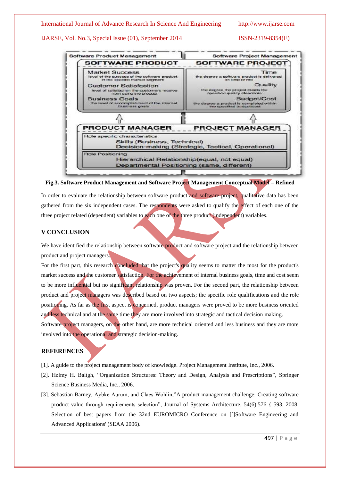IJARSE, Vol. No.3, Special Issue (01), September 2014 ISSN-2319-8354(E)





In order to evaluate the relationship between software product and software project, qualitative data has been gathered from the six independent cases. The respondents were asked to qualify the effect of each one of the three project related (dependent) variables to each one of the three product (independent) variables.

### **V CONCLUSION**

We have identified the relationship between software product and software project and the relationship between product and project managers.

For the first part, this research concluded that the project's quality seems to matter the most for the product's market success and the customer satisfaction. For the achievement of internal business goals, time and cost seem to be more influential but no significant relationship was proven. For the second part, the relationship between product and project managers was described based on two aspects; the specific role qualifications and the role positioning. As far as the first aspect is concerned, product managers were proved to be more business oriented and less technical and at the same time they are more involved into strategic and tactical decision making. Software project managers, on the other hand, are more technical oriented and less business and they are more involved into the operational and strategic decision-making.

## **REFERENCES**

- [1]. A guide to the project management body of knowledge. Project Management Institute, Inc., 2006.
- [2]. Helmy H. Baligh, "Organization Structures: Theory and Design, Analysis and Prescriptions", Springer Science Business Media, Inc., 2006.
- [3]. Sebastian Barney, Aybke Aurum, and Claes Wohlin,"A product management challenge: Creating software product value through requirements selection", Journal of Systems Architecture, 54(6):576 { 593, 2008. Selection of best papers from the 32nd EUROMICRO Conference on [`]Software Engineering and Advanced Applications' (SEAA 2006).